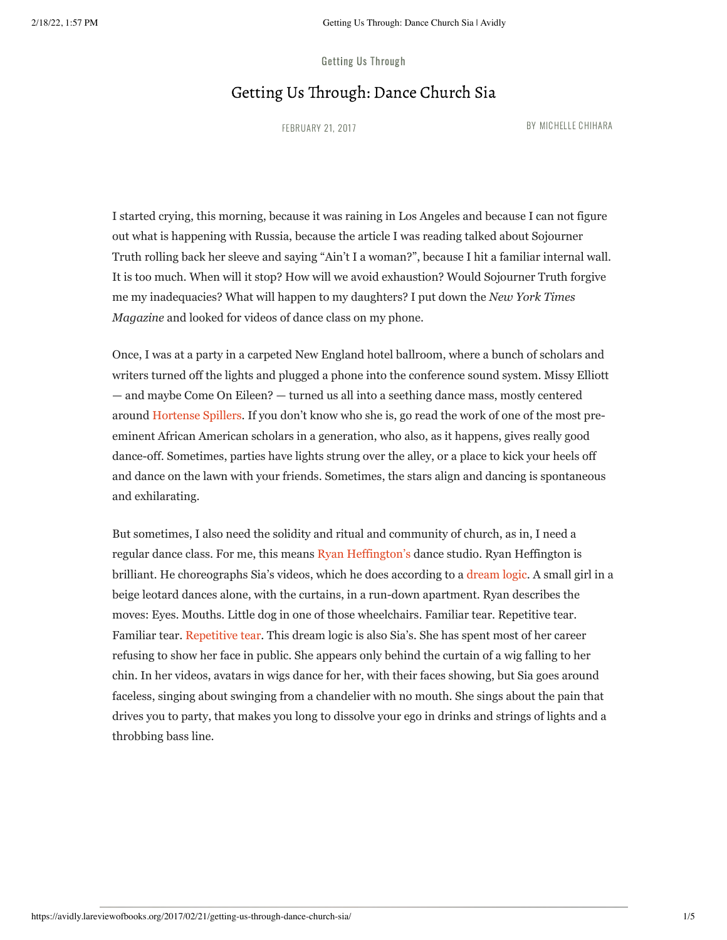Getting Us [Through](https://avidly.lareviewofbooks.org/category/getting-us-through/)

## Getting Us Through: Dance Church Sia

FEBRUARY 21, 2017 **FEBRUARY 21, 2017** 

I started crying, this morning, because it was raining in Los Angeles and because I can not figure out what is happening with Russia, because the article I was reading talked about Sojourner Truth rolling back her sleeve and saying "Ain't I a woman?", because I hit a familiar internal wall. It is too much. When will it stop? How will we avoid exhaustion? Would Sojourner Truth forgive me my inadequacies? What will happen to my daughters? I put down the *New York Times Magazine* and looked for videos of dance class on my phone.

Once, I was at a party in a carpeted New England hotel ballroom, where a bunch of scholars and writers turned off the lights and plugged a phone into the conference sound system. Missy Elliott — and maybe Come On Eileen? — turned us all into a seething dance mass, mostly centered around [Hortense Spillers](https://www.jstor.org/stable/pdf/30132095.pdf). If you don't know who she is, go read the work of one of the most preeminent African American scholars in a generation, who also, as it happens, gives really good dance-off. Sometimes, parties have lights strung over the alley, or a place to kick your heels off and dance on the lawn with your friends. Sometimes, the stars align and dancing is spontaneous and exhilarating.

But sometimes, I also need the solidity and ritual and community of church, as in, I need a regular dance class. For me, this means [Ryan Heffington's](http://www.thesweatspotla.com/) dance studio. Ryan Heffington is brilliant. He choreographs Sia's videos, which he does according to a [dream](https://www.youtube.com/watch?v=2vjPBrBU-TM&feature=youtu.be) logic. A small girl in a beige leotard dances alone, with the curtains, in a run-down apartment. Ryan describes the moves: Eyes. Mouths. Little dog in one of those wheelchairs. Familiar tear. Repetitive tear. Familiar tear. [Repetitive tear.](https://youtu.be/AUjHYpJNCzw) This dream logic is also Sia's. She has spent most of her career refusing to show her face in public. She appears only behind the curtain of a wig falling to her chin. In her videos, avatars in wigs dance for her, with their faces showing, but Sia goes around faceless, singing about swinging from a chandelier with no mouth. She sings about the pain that drives you to party, that makes you long to dissolve your ego in drinks and strings of lights and a throbbing bass line.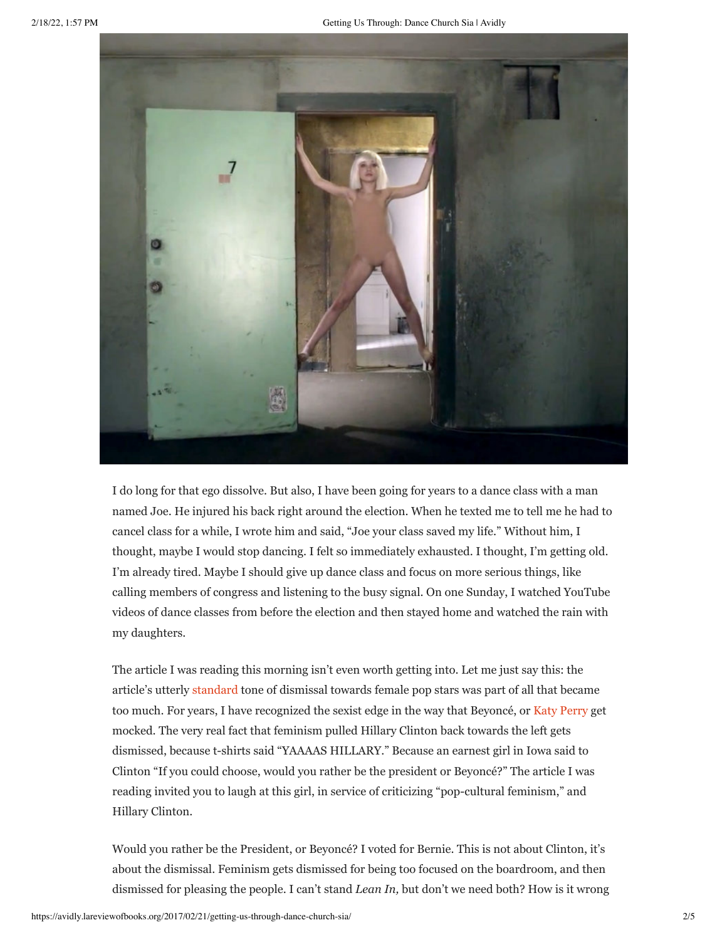

I do long for that ego dissolve. But also, I have been going for years to a dance class with a man named Joe. He injured his back right around the election. When he texted me to tell me he had to cancel class for a while, I wrote him and said, "Joe your class saved my life." Without him, I thought, maybe I would stop dancing. I felt so immediately exhausted. I thought, I'm getting old. I'm already tired. Maybe I should give up dance class and focus on more serious things, like calling members of congress and listening to the busy signal. On one Sunday, I watched YouTube videos of dance classes from before the election and then stayed home and watched the rain with my daughters.

The article I was reading this morning isn't even worth getting into. Let me just say this: the article's utterly [standard](http://thisblueangel.com/2011/06/22/the-women-of-pop-a-response-to-sasha-frere-jones/) tone of dismissal towards female pop stars was part of all that became too much. For years, I have recognized the sexist edge in the way that Beyoncé, or Katy [Perry](http://tropmag.com/2013/reading-katy-perry/) get mocked. The very real fact that feminism pulled Hillary Clinton back towards the left gets dismissed, because t-shirts said "YAAAAS HILLARY." Because an earnest girl in Iowa said to Clinton "If you could choose, would you rather be the president or Beyoncé?" The article I was reading invited you to laugh at this girl, in service of criticizing "pop-cultural feminism," and Hillary Clinton.

Would you rather be the President, or Beyoncé? I voted for Bernie. This is not about Clinton, it's about the dismissal. Feminism gets dismissed for being too focused on the boardroom, and then dismissed for pleasing the people. I can't stand *Lean In,* but don't we need both? How is it wrong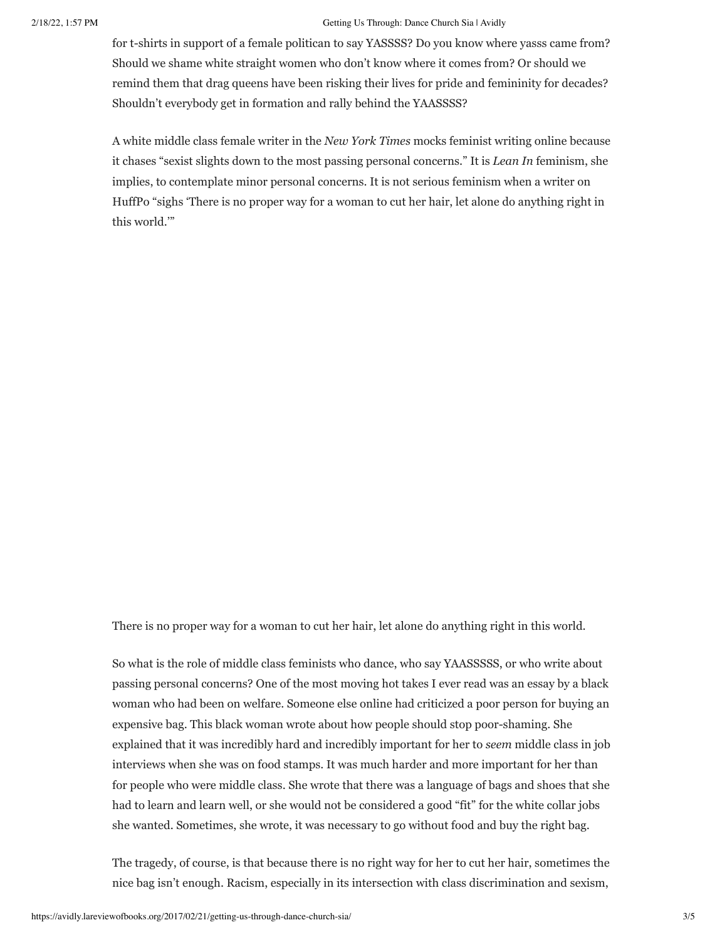## 2/18/22, 1:57 PM Getting Us Through: Dance Church Sia | Avidly

for t-shirts in support of a female politican to say YASSSS? Do you know where yasss came from? Should we shame white straight women who don't know where it comes from? Or should we remind them that drag queens have been risking their lives for pride and femininity for decades? Shouldn't everybody get in formation and rally behind the YAASSSS?

A white middle class female writer in the *New York Times* mocks feminist writing online because it chases "sexist slights down to the most passing personal concerns." It is *Lean In* feminism, she implies, to contemplate minor personal concerns. It is not serious feminism when a writer on HuffPo "sighs 'There is no proper way for a woman to cut her hair, let alone do anything right in this world.'"

There is no proper way for a woman to cut her hair, let alone do anything right in this world.

So what is the role of middle class feminists who dance, who say YAASSSSS, or who write about passing personal concerns? One of the most moving hot takes I ever read was an essay by a black woman who had been on welfare. Someone else online had criticized a poor person for buying an expensive bag. This black woman wrote about how people should stop poor-shaming. She explained that it was incredibly hard and incredibly important for her to *seem* middle class in job interviews when she was on food stamps. It was much harder and more important for her than for people who were middle class. She wrote that there was a language of bags and shoes that she had to learn and learn well, or she would not be considered a good "fit" for the white collar jobs she wanted. Sometimes, she wrote, it was necessary to go without food and buy the right bag.

The tragedy, of course, is that because there is no right way for her to cut her hair, sometimes the nice bag isn't enough. Racism, especially in its intersection with class discrimination and sexism,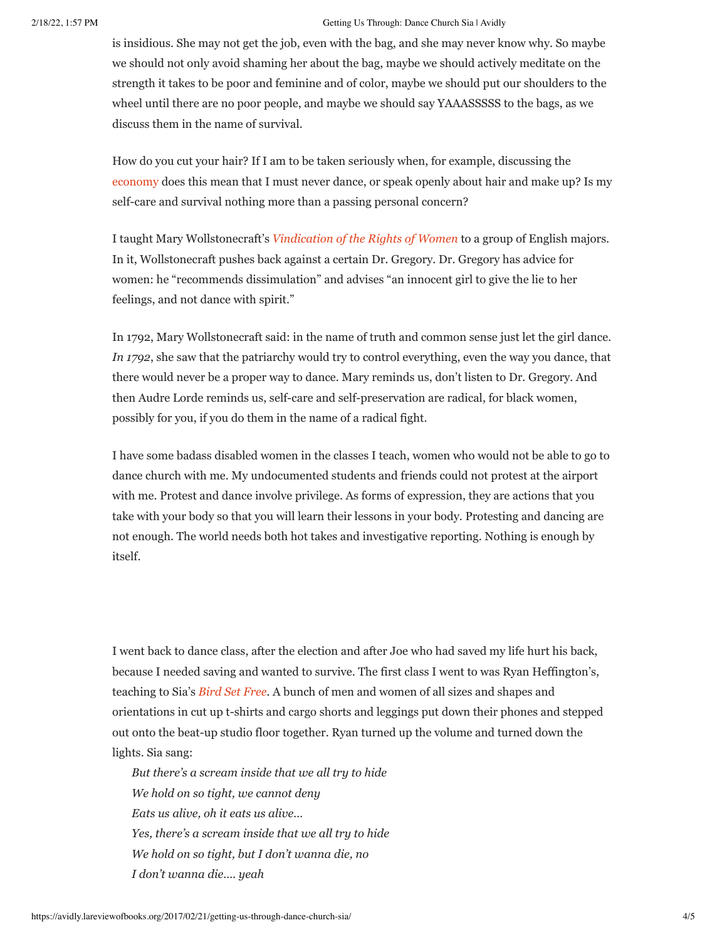## 2/18/22, 1:57 PM Getting Us Through: Dance Church Sia | Avidly

is insidious. She may not get the job, even with the bag, and she may never know why. So maybe we should not only avoid shaming her about the bag, maybe we should actively meditate on the strength it takes to be poor and feminine and of color, maybe we should put our shoulders to the wheel until there are no poor people, and maybe we should say YAAASSSSS to the bags, as we discuss them in the name of survival.

How do you cut your hair? If I am to be taken seriously when, for example, discussing the [economy](https://lareviewofbooks.org/article/what-we-talk-about-when-we-talk-about-finance/) does this mean that I must never dance, or speak openly about hair and make up? Is my self-care and survival nothing more than a passing personal concern?

I taught Mary Wollstonecraft's *[Vindication](http://www.bartleby.com/144/2.html) of the Rights of Women* to a group of English majors*.* In it, Wollstonecraft pushes back against a certain Dr. Gregory. Dr. Gregory has advice for women: he "recommends dissimulation" and advises "an innocent girl to give the lie to her feelings, and not dance with spirit."

In 1792, Mary Wollstonecraft said: in the name of truth and common sense just let the girl dance. *In* 1792, she saw that the patriarchy would try to control everything, even the way you dance, that there would never be a proper way to dance. Mary reminds us, don't listen to Dr. Gregory. And then Audre Lorde reminds us, self-care and self-preservation are radical, for black women, possibly for you, if you do them in the name of a radical fight.

I have some badass disabled women in the classes I teach, women who would not be able to go to dance church with me. My undocumented students and friends could not protest at the airport with me. Protest and dance involve privilege. As forms of expression, they are actions that you take with your body so that you will learn their lessons in your body. Protesting and dancing are not enough. The world needs both hot takes and investigative reporting. Nothing is enough by itself.

I went back to dance class, after the election and after Joe who had saved my life hurt his back, because I needed saving and wanted to survive. The first class I went to was Ryan Heffington's, teaching to Sia's *Bird Set [Free.](https://www.youtube.com/watch?v=KrT_0J6m6y8)* A bunch of men and women of all sizes and shapes and orientations in cut up t-shirts and cargo shorts and leggings put down their phones and stepped out onto the beat-up studio floor together. Ryan turned up the volume and turned down the lights. Sia sang:

*But there's a scream inside that we all try to hide We hold on so tight, we cannot deny Eats us alive, oh it eats us alive… Yes, there's a scream inside that we all try to hide We hold on so tight, but I don't wanna die, no I don't wanna die…. yeah*